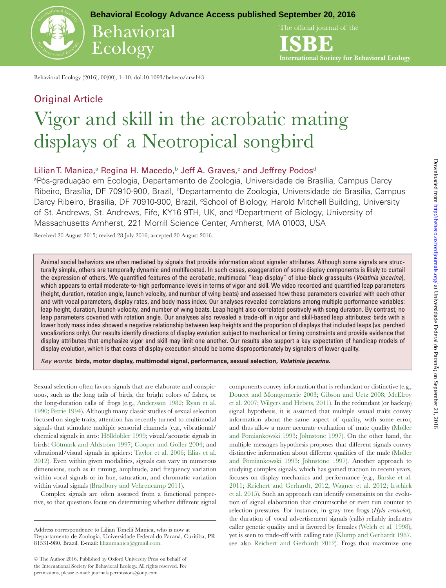## **Behavioral Ecology Advance Access published September 20, 2016**



Behavioral Ecology

The official journal of the

**ISBE International Society for Behavioral Ecology**

Behavioral Ecology (2016), 00(00), 1–10. doi:10.1093/beheco/arw143

# Original Article Vigor and skill in the acrobatic mating displays of a Neotropical songbird

# Lilian T. Manica,<sup>a</sup> Regina H. Macedo,<sup>b</sup> Jeff A. Graves, $c$  and Jeffrey Podos<sup>d</sup>

<span id="page-0-2"></span><span id="page-0-1"></span><span id="page-0-0"></span>aPós-graduação em Ecologia, Departamento de Zoologia, Universidade de Brasília, Campus Darcy Ribeiro, Brasília, DF 70910-900, Brazil, <sup>b</sup>Departamento de Zoologia, Universidade de Brasília, Campus Darcy Ribeiro, Brasília, DF 70910-900, Brazil, <sup>c</sup>School of Biology, Harold Mitchell Building, University of St. Andrews, St. Andrews, Fife, KY16 9TH, UK, and <sup>d</sup>Department of Biology, University of Massachusetts Amherst, 221 Morrill Science Center, Amherst, MA 01003, USA

<span id="page-0-3"></span>Received 20 August 2015; revised 28 July 2016; accepted 20 August 2016.

Animal social behaviors are often mediated by signals that provide information about signaler attributes. Although some signals are structurally simple, others are temporally dynamic and multifaceted. In such cases, exaggeration of some display components is likely to curtail the expression of others. We quantified features of the acrobatic, multimodal "leap display" of blue-black grassquits (*Volatinia jacarina*), which appears to entail moderate-to-high performance levels in terms of vigor and skill. We video recorded and quantified leap parameters (height, duration, rotation angle, launch velocity, and number of wing beats) and assessed how these parameters covaried with each other and with vocal parameters, display rates, and body mass index. Our analyses revealed correlations among multiple performance variables: leap height, duration, launch velocity, and number of wing beats. Leap height also correlated positively with song duration. By contrast, no leap parameters covaried with rotation angle. Our analyses also revealed a trade-off in vigor and skill-based leap attributes: birds with a lower body mass index showed a negative relationship between leap heights and the proportion of displays that included leaps (vs. perched vocalizations only). Our results identify directions of display evolution subject to mechanical or timing constraints and provide evidence that display attributes that emphasize vigor and skill may limit one another. Our results also support a key expectation of handicap models of display evolution, which is that costs of display execution should be borne disproportionately by signalers of lower quality.

*Key words*: **birds, motor display, multimodal signal, performance, sexual selection,** *Volatinia jacarina***.**

Sexual selection often favors signals that are elaborate and conspicuous, such as the long tails of birds, the bright colors of fishes, or the long-duration calls of frogs (e.g., [Andersson 1982](#page-7-0); [Ryan et al.](#page-8-0) [1990](#page-8-0); [Petrie 1994](#page-8-1)). Although many classic studies of sexual selection focused on single traits, attention has recently turned to multimodal signals that stimulate multiple sensorial channels (e.g., vibrational/ chemical signals in ants: [Hölldobler 1999](#page-8-2); visual/acoustic signals in birds: [Götmark and Ahlström 1997](#page-8-3); [Cooper and Goller 2004;](#page-8-4) and vibrational/visual signals in spiders: [Taylor et al. 2006;](#page-8-5) [Elias et al.](#page-8-6) [2012](#page-8-6)). Even within given modalities, signals can vary in numerous dimensions, such as in timing, amplitude, and frequency variation within vocal signals or in hue, saturation, and chromatic variation within visual signals ([Bradbury and Vehrencamp 2011](#page-7-1)).

Complex signals are often assessed from a functional perspective, so that questions focus on determining whether different signal components convey information that is redundant or distinctive (e.g., [Doucet and Montgomerie 2003;](#page-8-7) [Gibson and Uetz 2008;](#page-8-8) [McElroy](#page-8-9) [et al. 2007;](#page-8-9) [Wilgers and Hebets, 2011\)](#page-9-0). In the redundant (or backup) signal hypothesis, it is assumed that multiple sexual traits convey information about the same aspect of quality, with some error, and thus allow a more accurate evaluation of mate quality [\(Møller](#page-8-10) [and Pomiankowski 1993;](#page-8-10) [Johnstone 1997](#page-8-11)). On the other hand, the multiple messages hypothesis proposes that different signals convey distinctive information about different qualities of the male [\(Møller](#page-8-10) [and Pomiankowski 1993;](#page-8-10) [Johnstone 1997\)](#page-8-11). Another approach to studying complex signals, which has gained traction in recent years, focuses on display mechanics and performance (e.g., [Barske et al.](#page-7-2) [2011](#page-7-2); [Reichert and Gerhardt, 2012](#page-8-12); [Wagner et al. 2012;](#page-9-1) [Irschick](#page-8-13) [et al. 2015\)](#page-8-13). Such an approach can identify constraints on the evolution of signal elaboration that circumscribe or even run counter to selection pressures. For instance, in gray tree frogs (*Hyla versicolor*), the duration of vocal advertisement signals (calls) reliably indicates caller genetic quality and is favored by females [\(Welch et al. 1998](#page-9-2)), yet is seen to trade-off with calling rate [\(Klump and Gerhardt 1987](#page-8-14), see also [Reichert and Gerhardt 2012](#page-8-12)). Frogs that maximize one

Address correspondence to Lilian Tonelli Manica, who is now at Departamento de Zoologia, Universidade Federal do Paraná, Curitiba, PR 81531-980, Brazil. E-mail: [lilianmanica@gmail.com](mailto:lilianmanica@gmail.com?subject=).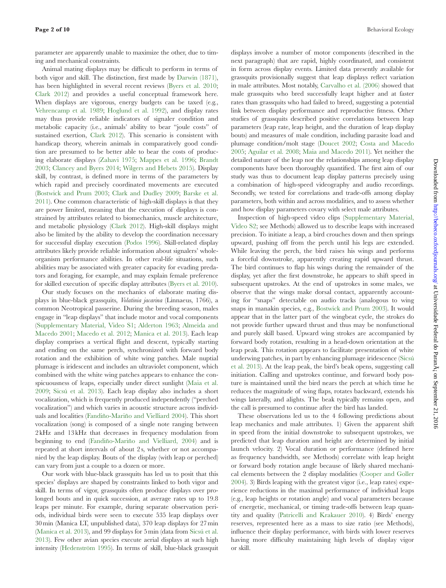parameter are apparently unable to maximize the other, due to timing and mechanical constraints.

Animal mating displays may be difficult to perform in terms of both vigor and skill. The distinction, first made by [Darwin \(1871\)](#page-8-15), has been highlighted in several recent reviews ([Byers et al. 2010](#page-8-16); [Clark 2012\)](#page-8-17) and provides a useful conceptual framework here. When displays are vigorous, energy budgets can be taxed (e.g., [Vehrencamp et al. 1989](#page-9-3); [Hoglund et al. 1992\)](#page-8-18), and display rates may thus provide reliable indicators of signaler condition and metabolic capacity (i.e., animals' ability to bear "joule costs" of sustained exertion, [Clark 2012\)](#page-8-17). This scenario is consistent with handicap theory, wherein animals in comparatively good condition are presumed to be better able to bear the costs of producing elaborate displays [\(Zahavi 1975](#page-9-4); [Mappes et al. 1996;](#page-8-19) [Brandt](#page-8-20)  [2003;](#page-8-20) [Clancey and Byers 2014;](#page-8-21) [Wilgers and Hebets 2015](#page-9-5)). Display skill, by contrast, is defined more in terms of the parameters by which rapid and precisely coordinated movements are executed [\(Bostwick and Prum 2003;](#page-7-3) [Clark and Dudley 2009](#page-8-22); [Barske et al.](#page-7-2)  [2011\)](#page-7-2). One common characteristic of high-skill displays is that they are power limited, meaning that the execution of displays is constrained by attributes related to biomechanics, muscle architecture, and metabolic physiology [\(Clark 2012](#page-8-17)). High-skill displays might also be limited by the ability to develop the coordination necessary for successful display execution [\(Podos 1996\)](#page-8-23). Skill-related display attributes likely provide reliable information about signalers' wholeorganism performance abilities. In other real-life situations, such abilities may be associated with greater capacity for evading predators and foraging, for example, and may explain female preference for skilled execution of specific display attributes [\(Byers et al. 2010](#page-8-16)).

Our study focuses on the mechanics of elaborate mating displays in blue-black grassquits, *Volatinia jacarina* (Linnaeus, 1766), a common Neotropical passerine. During the breeding season, males engage in "leap displays" that include motor and vocal components [\(Supplementary Material, Video S1;](http://beheco.oxfordjournals.org/lookup/suppl/doi:10.1093/beheco/arw143/-/DC1) [Alderton 1963;](#page-7-4) [Almeida and](#page-7-5)  [Macedo 2001](#page-7-5); [Macedo et al. 2012](#page-8-24); [Manica et al. 2013](#page-8-25)). Each leap display comprises a vertical flight and descent, typically starting and ending on the same perch, synchronized with forward body rotation and the exhibition of white wing patches. Male nuptial plumage is iridescent and includes an ultraviolet component, which combined with the white wing patches appears to enhance the conspicuousness of leaps, especially under direct sunlight [\(Maia et al.](#page-8-26)  [2009;](#page-8-26) [Sicsú et al. 2013\)](#page-9-6). Each leap display also includes a short vocalization, which is frequently produced independently ("perched vocalization") and which varies in acoustic structure across individuals and localities ([Fandiño-Mariño and Vielliard 2004](#page-8-27)). This short vocalization (song) is composed of a single note ranging between 2kHz and 13kHz that decreases in frequency modulation from beginning to end [\(Fandiño-Mariño and Vielliard, 2004\)](#page-8-27) and is repeated at short intervals of about 2s, whether or not accompanied by the leap display. Bouts of the display (with leap or perched) can vary from just a couple to a dozen or more.

Our work with blue-black grassquits has led us to posit that this species' displays are shaped by constraints linked to both vigor and skill. In terms of vigor, grassquits often produce displays over prolonged bouts and in quick succession, at average rates up to 19.8 leaps per minute. For example, during separate observation periods, individual birds were seen to execute 535 leap displays over 30min (Manica LT, unpublished data), 370 leap displays for 27min [\(Manica et al. 2013\)](#page-8-25), and 99 displays for 5min (data from [Sicsú et al.](#page-9-6)  [2013\)](#page-9-6). Few other avian species execute aerial displays at such high intensity [\(Hedenström 1995\)](#page-8-28). In terms of skill, blue-black grassquit displays involve a number of motor components (described in the next paragraph) that are rapid, highly coordinated, and consistent in form across display events. Limited data presently available for grassquits provisionally suggest that leap displays reflect variation in male attributes. Most notably, [Carvalho et al. \(2006\)](#page-8-29) showed that male grassquits who bred successfully leapt higher and at faster rates than grassquits who had failed to breed, suggesting a potential link between display performance and reproductive fitness. Other studies of grassquits described positive correlations between leap parameters (leap rate, leap height, and the duration of leap display bouts) and measures of male condition, including parasite load and plumage condition/molt stage [\(Doucet 2002;](#page-8-30) [Costa and Macedo](#page-8-31) [2005;](#page-8-31) [Aguilar et al. 2008](#page-7-6); [Maia and Macedo 2011\)](#page-8-32). Yet neither the detailed nature of the leap nor the relationships among leap display components have been thoroughly quantified. The first aim of our study was thus to document leap display patterns precisely using a combination of high-speed videography and audio recordings. Secondly, we tested for correlations and trade-offs among display parameters, both within and across modalities, and to assess whether and how display parameters covary with select male attributes.

Inspection of high-speed video clips ([Supplementary Material,](http://beheco.oxfordjournals.org/lookup/suppl/doi:10.1093/beheco/arw143/-/DC1) [Video S2](http://beheco.oxfordjournals.org/lookup/suppl/doi:10.1093/beheco/arw143/-/DC1); see Methods) allowed us to describe leaps with increased precision. To initiate a leap, a bird crouches down and then springs upward, pushing off from the perch until his legs are extended. While leaving the perch, the bird raises his wings and performs a forceful downstroke, apparently creating rapid upward thrust. The bird continues to flap his wings during the remainder of the display, yet after the first downstroke, he appears to shift speed in subsequent upstrokes. At the end of upstrokes in some males, we observe that the wings make dorsal contact, apparently accounting for "snaps" detectable on audio tracks (analogous to wing snaps in manakin species, e.g., [Bostwick and Prum 2003\)](#page-7-3). It would appear that in the latter part of the wingbeat cycle, the strokes do not provide further upward thrust and thus may be nonfunctional and purely skill based. Upward wing strokes are accompanied by forward body rotation, resulting in a head-down orientation at the leap peak. This rotation appears to facilitate presentation of white underwing patches, in part by enhancing plumage iridescence ([Sicsú](#page-9-6) [et al. 2013](#page-9-6)). At the leap peak, the bird's beak opens, suggesting call initiation. Calling and upstrokes continue, and forward body posture is maintained until the bird nears the perch at which time he reduces the magnitude of wing flaps, rotates backward, extends his wings laterally, and alights. The beak typically remains open, and the call is presumed to continue after the bird has landed.

These observations led us to the 4 following predictions about leap mechanics and male attributes. 1) Given the apparent shift in speed from the initial downstroke to subsequent upstrokes, we predicted that leap duration and height are determined by initial launch velocity. 2) Vocal duration or performance (defined here as frequency bandwidth, see Methods) correlate with leap height or forward body rotation angle because of likely shared mechanical elements between the 2 display modalities [\(Cooper and Goller](#page-8-4) [2004\)](#page-8-4). 3) Birds leaping with the greatest vigor (i.e., leap rates) experience reductions in the maximal performance of individual leaps (e.g., leap heights or rotation angle) and vocal parameters because of energetic, mechanical, or timing trade-offs between leap quantity and quality [\(Patricelli and Krakauer 2010\)](#page-8-33). 4) Birds' energy reserves, represented here as a mass to size ratio (see Methods), influence their display performance, with birds with lower reserves having more difficulty maintaining high levels of display vigor or skill.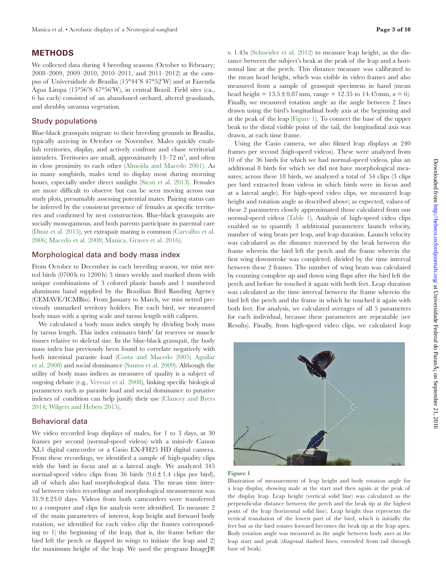## **METHODS**

We collected data during 4 breeding seasons (October to February; 2008–2009, 2009–2010, 2010–2011, and 2011–2012) at the campus of Universidade de Brasília (15°44ʹS 47°52ʹW) and at Fazenda Água Limpa (15°56ʹS 47°56ʹW), in central Brazil. Field sites (ca., 6 ha each) consisted of an abandoned orchard, altered grasslands, and shrubby savanna vegetation.

## Study populations

Blue-black grassquits migrate to their breeding grounds in Brasilia, typically arriving in October or November. Males quickly establish territories, display, and actively confront and chase territorial intruders. Territories are small, approximately  $13-72$  m<sup>2</sup>, and often in close proximity to each other [\(Almeida and Macedo 2001](#page-7-5)). As in many songbirds, males tend to display most during morning hours, especially under direct sunlight [\(Sicsú et al. 2013\)](#page-9-6). Females are more difficult to observe but can be seen moving across our study plots, presumably assessing potential mates. Pairing status can be inferred by the consistent presence of females at specific territories and confirmed by nest construction. Blue-black grassquits are socially monogamous, and both parents participate in parental care ([Diniz et al. 2015](#page-8-34)), yet extrapair mating is common [\(Carvalho et al.](#page-8-29) [2006;](#page-8-29) [Macedo et al. 2008](#page-7-6); [Manica, Graves et al. 2016](#page-8-35)).

### Morphological data and body mass index

From October to December in each breeding season, we mist netted birds (0700h to 1200h) 3 times weekly and marked them with unique combinations of 3 colored plastic bands and 1 numbered aluminum band supplied by the Brazilian Bird Banding Agency (CEMAVE/ICMBio). From January to March, we mist netted previously unmarked territory holders. For each bird, we measured body mass with a spring scale and tarsus length with calipers.

We calculated a body mass index simply by dividing body mass by tarsus length. This index estimates birds' fat reserves or muscle tissues relative to skeletal size. In the blue-black grassquit, the body mass index has previously been found to correlate negatively with both intestinal parasite load [\(Costa and Macedo 2005](#page-8-31); [Aguilar](#page-7-6) [et al. 2008](#page-7-6)) and social dominance ([Santos et al. 2009](#page-8-36)). Although the utility of body mass indices as measures of quality is a subject of ongoing debate (e.g., [Vervust et al. 2008](#page-9-7)), linking specific biological parameters such as parasite load and social dominance to putative indexes of condition can help justify their use [\(Clancey and Byers](#page-8-21) [2014;](#page-8-21) [Wilgers and Hebets 2015\)](#page-9-5).

## Behavioral data

We video recorded leap displays of males, for 1 to 3 days, at 30 frames per second (normal-speed videos) with a mini-dv Canon XL1 digital camcorder or a Casio EX-FH25 HD digital camera. From these recordings, we identified a sample of high-quality clips with the bird in focus and at a lateral angle. We analyzed 345 normal-speed video clips from 36 birds (9.6±1.4 clips per bird), all of which also had morphological data. The mean time interval between video recordings and morphological measurement was  $31.9 \pm 23.0$  days. Videos from both camcorders were transferred to a computer and clips for analysis were identified. To measure 2 of the main parameters of interest, leap height and forward body rotation, we identified for each video clip the frames corresponding to 1) the beginning of the leap, that is, the frame before the bird left the perch or flapped its wings to initiate the leap and 2) the maximum height of the leap. We used the program ImageJ®

v. 1.45s ([Schneider et al. 2012\)](#page-8-37) to measure leap height, as the distance between the subject's beak at the peak of the leap and a horizontal line at the perch. This distance measure was calibrated to the mean head height, which was visible in video frames and also measured from a sample of grassquit specimens in hand (mean head height =  $13.5 \pm 0.87$  mm, range = 12.35 to 14.45 mm,  $n = 6$ ). Finally, we measured rotation angle as the angle between 2 lines drawn using the bird's longitudinal body axis at the beginning and at the peak of the leap ([Figure 1\)](#page-2-0). To connect the base of the upper beak to the distal visible point of the tail, the longitudinal axis was drawn, at each time frame.

Using the Casio camera, we also filmed leap displays at 240 frames per second (high-speed videos). These were analyzed from 10 of the 36 birds for which we had normal-speed videos, plus an additional 8 birds for which we did not have morphological measures; across these 18 birds, we analyzed a total of 54 clips (3 clips per bird extracted from videos in which birds were in focus and at a lateral angle). For high-speed video clips, we measured leap height and rotation angle as described above; as expected, values of these 2 parameters closely approximated those calculated from our normal-speed videos [\(Table 1\)](#page-3-0). Analysis of high-speed video clips enabled us to quantify 3 additional parameters: launch velocity, number of wing beats per leap, and leap duration. Launch velocity was calculated as the distance traversed by the beak between the frame wherein the bird left the perch and the frame wherein the first wing downstroke was completed, divided by the time interval between these 2 frames. The number of wing beats was calculated by counting complete up and down wing flaps after the bird left the perch and before he touched it again with both feet. Leap duration was calculated as the time interval between the frame wherein the bird left the perch and the frame in which he touched it again with both feet. For analysis, we calculated averages of all 5 parameters for each individual, because these parameters are repeatable (see Results). Finally, from high-speed video clips, we calculated leap



#### <span id="page-2-0"></span>Figure 1

Illustration of measurement of leap height and body rotation angle for a leap display, showing male at the start and then again at the peak of the display leap. Leap height (vertical solid line) was calculated as the perpendicular distance between the perch and the beak tip at the highest point of the leap (horizontal solid line). Leap height thus represents the vertical translation of the lowest part of the bird, which is initially the feet but as the bird rotates forward becomes the beak tip at the leap apex. Body rotation angle was measured as the angle between body axes at the leap start and peak (diagonal dashed lines, extended from tail through base of beak).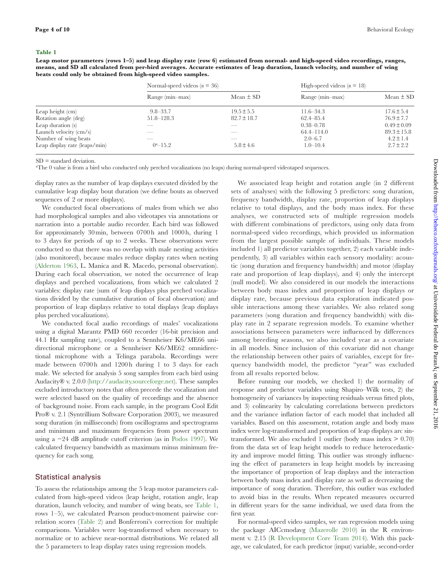#### <span id="page-3-0"></span>**Table 1**

**Leap motor parameters (rows 1–5) and leap display rate (row 6) estimated from normal- and high-speed video recordings, ranges, means, and SD all calculated from per-bird averages. Accurate estimates of leap duration, launch velocity, and number of wing beats could only be obtained from high-speed video samples.**

|                                          | Normal-speed videos ( $n = 36$ ) |                 | High-speed videos ( $n = 18$ ) |                 |
|------------------------------------------|----------------------------------|-----------------|--------------------------------|-----------------|
|                                          | Range (min-max)                  | Mean $\pm$ SD   | Range (min-max)                | Mean $\pm$ SD   |
| Leap height (cm)                         | $9.8 - 33.7$                     | $19.5 \pm 5.5$  | $11.6 - 34.3$                  | $17.6 \pm 5.4$  |
| Rotation angle (deg)                     | $51.8 - 128.3$                   | $82.7 \pm 18.7$ | $62.4 - 85.4$                  | $76.9 \pm 7.7$  |
| Leap duration (s)                        |                                  |                 | $0.38 - 0.78$                  | $0.49 \pm 0.09$ |
| Launch velocity $\langle$ cm/s $\rangle$ |                                  |                 | 64.4–114.0                     | $89.3 \pm 15.8$ |
| Number of wing beats                     | ___                              | ___             | $2.0 - 6.7$                    | $4.2 \pm 1.4$   |
| Leap display rate (leaps/min)            | $0^a - 15.2$                     | $5.8 \pm 4.6$   | $1.0 - 10.4$                   | $2.7 \pm 2.2$   |

 $SD =$  standard deviation.

a The 0 value is from a bird who conducted only perched vocalizations (no leaps) during normal-speed videotaped sequences.

display rates as the number of leap displays executed divided by the cumulative leap display bout duration (we define bouts as observed sequences of 2 or more displays).

We conducted focal observations of males from which we also had morphological samples and also videotapes via annotations or narration into a portable audio recorder. Each bird was followed for approximately 30min, between 0700h and 1000h, during 1 to 3 days for periods of up to 2 weeks. These observations were conducted so that there was no overlap with male nesting activities (also monitored), because males reduce display rates when nesting [\(Alderton 1963](#page-7-4), L. Manica and R. Macedo, personal observation). During each focal observation, we noted the occurrence of leap displays and perched vocalizations, from which we calculated 2 variables: display rate (sum of leap displays plus perched vocalizations divided by the cumulative duration of focal observation) and proportion of leap displays relative to total displays (leap displays plus perched vocalizations).

We conducted focal audio recordings of males' vocalizations using a digital Marantz PMD 660 recorder (16-bit precision and 44.1 Hz sampling rate), coupled to a Sennheiser K6/ME66 unidirectional microphone or a Sennheiser K6/ME62 omnidirectional microphone with a Telinga parabola. Recordings were made between 0700h and 1200h during 1 to 3 days for each male. We selected for analysis 5 song samples from each bird using Audacity® v. 2.0.0 (<http://audacity.sourceforge.net>). These samples excluded introductory notes that often precede the vocalization and were selected based on the quality of recordings and the absence of background noise. From each sample, in the program Cool Edit Pro® v. 2.1 (Syntrillium Software Corporation 2003), we measured song duration (in milliseconds) from oscillograms and spectrograms and minimum and maximum frequencies from power spectrum using a −24 dB amplitude cutoff criterion (as in [Podos 1997](#page-8-38)). We calculated frequency bandwidth as maximum minus minimum frequency for each song.

## Statistical analysis

To assess the relationships among the 5 leap motor parameters calculated from high-speed videos (leap height, rotation angle, leap duration, launch velocity, and number of wing beats, see [Table 1](#page-3-0), rows 1–5), we calculated Pearson product-moment pairwise correlation scores ([Table 2\)](#page-4-0) and Bonferroni's correction for multiple comparisons. Variables were log-transformed when necessary to normalize or to achieve near-normal distributions. We related all the 5 parameters to leap display rates using regression models.

We associated leap height and rotation angle (in 2 different sets of analyses) with the following 5 predictors: song duration, frequency bandwidth, display rate, proportion of leap displays relative to total displays, and the body mass index. For these analyses, we constructed sets of multiple regression models with different combinations of predictors, using only data from normal-speed video recordings, which provided us information from the largest possible sample of individuals. These models included 1) all predictor variables together, 2) each variable independently, 3) all variables within each sensory modality: acoustic (song duration and frequency bandwidth) and motor (display rate and proportion of leap displays), and 4) only the intercept (null model). We also considered in our models the interactions between body mass index and proportion of leap displays or display rate, because previous data exploration indicated possible interactions among these variables. We also related song parameters (song duration and frequency bandwidth) with display rate in 2 separate regression models. To examine whether associations between parameters were influenced by differences among breeding seasons, we also included year as a covariate in all models. Since inclusion of this covariate did not change the relationship between other pairs of variables, except for frequency bandwidth model, the predictor "year" was excluded from all results reported below.

Before running our models, we checked 1) the normality of response and predictor variables using Shapiro–Wilk tests, 2) the homogeneity of variances by inspecting residuals versus fitted plots, and 3) colinearity by calculating correlations between predictors and the variance inflation factor of each model that included all variables. Based on this assessment, rotation angle and body mass index were log-transformed and proportion of leap displays arc sintransformed. We also excluded 1 outlier (body mass index  $> 0.70$ ) from the data set of leap height models to reduce heterocedasticity and improve model fitting. This outlier was strongly influencing the effect of parameters in leap height models by increasing the importance of proportion of leap displays and the interaction between body mass index and display rate as well as decreasing the importance of song duration. Therefore, this outlier was excluded to avoid bias in the results. When repeated measures occurred in different years for the same individual, we used data from the first year.

For normal-speed video samples, we ran regression models using the package AICcmodavg [\(Mazerolle 2010\)](#page-8-39) in the R environment v. 2.15 [\(R Development Core Team 2014](#page-8-40)). With this package, we calculated, for each predictor (input) variable, second-order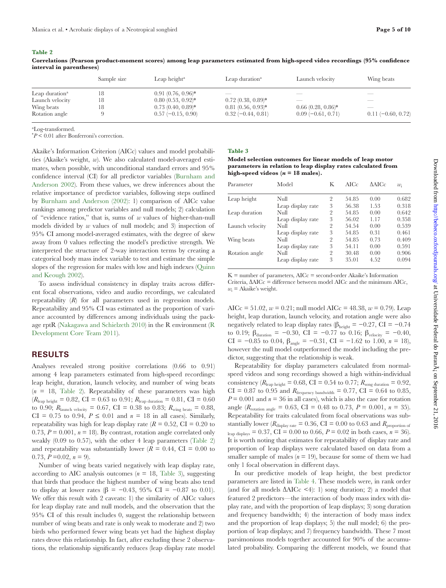#### <span id="page-4-0"></span>**Table 2**

|                                         | Sample size | Leap height <sup>a</sup> | Leap duration <sup><math>a</math></sup> | Launch velocity      | Wing beats          |
|-----------------------------------------|-------------|--------------------------|-----------------------------------------|----------------------|---------------------|
| Leap duration <sup><math>a</math></sup> | 18          | $0.91(0.76, 0.96)^*$     |                                         |                      |                     |
| Launch velocity                         | 18          | $0.80(0.53, 0.92)^*$     | $0.72(0.38, 0.89)$ *                    |                      | ___                 |
| Wing beats                              | 18          | $0.73(0.40, 0.89)^*$     | $0.81(0.56, 0.93)^*$                    | $0.66(0.28, 0.86)$ * |                     |
| Rotation angle                          |             | $0.57(-0.15, 0.90)$      | $0.32(-0.44, 0.81)$                     | $0.09(-0.61, 0.71)$  | $0.11(-0.60, 0.72)$ |

**Correlations (Pearson product-moment scores) among leap parameters estimated from high-speed video recordings (95% confidence interval in parentheses)**

a Log-transformed.

\* *P* < 0.01 after Bonferroni's correction.

Akaike's Information Criterion (AICc) values and model probabilities (Akaike's weight, *w*). We also calculated model-averaged estimates, when possible, with unconditional standard errors and 95% confidence interval (CI) for all predictor variables [\(Burnham and](#page-8-41) [Anderson 2002\)](#page-8-41). From these values, we drew inferences about the relative importance of predictor variables, following steps outlined by [Burnham and Anderson \(2002\):](#page-8-41) 1) comparison of AICc value rankings among predictor variables and null models; 2) calculation of "evidence ratios," that is, sums of *w* values of higher-than-null models divided by *w* values of null models; and 3) inspection of 95% CI among model-averaged estimates, with the degree of skew away from 0 values reflecting the model's predictive strength. We interpreted the structure of 2-way interaction terms by creating a categorical body mass index variable to test and estimate the simple slopes of the regression for males with low and high indexes [\(Quinn](#page-8-42) [and Keough 2002\)](#page-8-42).

To assess individual consistency in display traits across different focal observations, video and audio recordings, we calculated repeatability (*R*) for all parameters used in regression models. Repeatability and 95% CI was estimated as the proportion of variance accounted by differences among individuals using the package rptR [\(Nakagawa and Schielzeth 2010\)](#page-8-43) in the R environment ([R](#page-8-40) [Development Core Team 2011](#page-8-40)).

## **RESULTS**

Analyses revealed strong positive correlations (0.66 to 0.91) among 4 leap parameters estimated from high-speed recordings: leap height, duration, launch velocity, and number of wing beats  $(n = 18,$  Table 2). Repeatability of these parameters was high  $(R_{\text{leap height}} = 0.82, \text{ CI} = 0.63 \text{ to } 0.91; R_{\text{leap duration}} = 0.81, \text{ CI} = 0.60$ to 0.90;  $R_{\text{launch velocity}} = 0.67$ , CI = 0.38 to 0.83;  $R_{\text{wing beats}} = 0.88$ , CI =  $0.75$  to  $0.94$ ,  $P \le 0.01$  and  $n = 18$  in all cases). Similarly, repeatability was high for leap display rate  $(R = 0.52, CI = 0.20$  to 0.73,  $P = 0.001$ ,  $n = 18$ ). By contrast, rotation angle correlated only weakly (0.09 to 0.57), with the other 4 leap parameters ([Table 2](#page-4-0)) and repeatability was substantially lower ( $R = 0.44$ , CI = 0.00 to 0.73,  $P = 0.02$ ,  $n = 9$ ).

Number of wing beats varied negatively with leap display rate, according to AIC analysis outcomes  $(n = 18, 7$ able 3), suggesting that birds that produce the highest number of wing beats also tend to display at lower rates (β =  $-0.43$ , 95% CI =  $-0.87$  to 0.01). We offer this result with 2 caveats: 1) the similarity of AICc values for leap display rate and null models, and the observation that the 95% CI of this result includes 0, suggest the relationship between number of wing beats and rate is only weak to moderate and 2) two birds who performed fewer wing beats yet had the highest display rates drove this relationship. In fact, after excluding these 2 observations, the relationship significantly reduces (leap display rate model

## <span id="page-4-1"></span>**Table 3**

**Model selection outcomes for linear models of leap motor parameters in relation to leap display rates calculated from**   $hat{h}$ igh-speed videos ( $n = 18$  males).

| Parameter       | Model             | K | AICc  | AAICc | $\mathcal{W}_i$ |
|-----------------|-------------------|---|-------|-------|-----------------|
| Leap height     | Null              | 2 | 54.85 | 0.00  | 0.682           |
|                 | Leap display rate | 3 | 56.38 | 1.53  | 0.318           |
| Leap duration   | Null              | 2 | 54.85 | 0.00  | 0.642           |
|                 | Leap display rate | 3 | 56.02 | 1.17  | 0.358           |
| Launch velocity | Null              | 2 | 54.54 | 0.00  | 0.539           |
|                 | Leap display rate | 3 | 54.85 | 0.31  | 0.461           |
| Wing beats      | Null              | 2 | 54.85 | 0.73  | 0.409           |
|                 | Leap display rate | 3 | 54.11 | 0.00  | 0.591           |
| Rotation angle  | Null              | 2 | 30.48 | 0.00  | 0.906           |
|                 | Leap display rate | 3 | 35.01 | 4.52  | 0.094           |

 $K =$  number of parameters,  $AICc =$  second-order Akaike's Information Criteria, ΔAICc = difference between model AICc and the minimum AICc,  $w_i$  = Akaike's weight.

AICc =  $51.02$ ,  $w = 0.21$ ; null model AICc =  $48.38$ ,  $w = 0.79$ ). Leap height, leap duration, launch velocity, and rotation angle were also negatively related to leap display rates ( $β_{height}$  = −0.27, CI = −0.74 to 0.19;  $β_{\text{duration}} = -0.30$ , CI = -0.77 to 0.16;  $β_{\text{velocity}} = -0.40$ , CI =  $-0.85$  to 0.04,  $\beta_{angle} = -0.31$ , CI =  $-1.62$  to 1.00,  $n = 18$ ), however the null model outperformed the model including the predictor, suggesting that the relationship is weak.

Repeatability for display parameters calculated from normalspeed videos and song recordings showed a high within-individual consistency ( $R_{\text{leap height}} = 0.68$ , CI = 0.54 to 0.77;  $R_{\text{song duration}} = 0.92$ ,  $CI = 0.87$  to 0.95 and  $R_{\text{frequency bandwidth}} = 0.77$ ,  $CI = 0.64$  to 0.85,  $P = 0.001$  and  $n = 36$  in all cases), which is also the case for rotation angle ( $R_{\text{rotation angle}} = 0.63$ , CI = 0.48 to 0.73,  $P = 0.001$ ,  $n = 35$ ). Repeatability for traits calculated from focal observations was substantially lower ( $R_{\text{display rate}} = 0.36$ , CI = 0.00 to 0.63 and  $R_{\text{proportion of}}$  $I_{\text{teap displays}} = 0.37$ , CI = 0.00 to 0.66,  $P = 0.02$  in both cases,  $n = 36$ ). It is worth noting that estimates for repeatability of display rate and proportion of leap displays were calculated based on data from a smaller sample of males  $(n = 19)$ , because for some of them we had only 1 focal observation in different days.

In our predictive models of leap height, the best predictor parameters are listed in [Table 4](#page-5-0). These models were, in rank order (and for all models  $\triangle AICc \leq 4$ ): 1) song duration; 2) a model that featured 2 predictors—the interaction of body mass index with display rate, and with the proportion of leap displays; 3) song duration and frequency bandwidth; 4) the interaction of body mass index and the proportion of leap displays; 5) the null model; 6) the proportion of leap displays; and 7) frequency bandwidth. These 7 most parsimonious models together accounted for 90% of the accumulated probability. Comparing the different models, we found that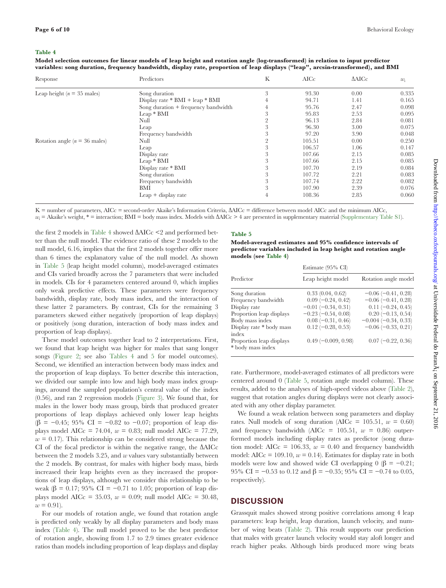#### <span id="page-5-0"></span>**Table 4**

**Model selection outcomes for linear models of leap height and rotation angle (log-transformed) in relation to input predictor variables: song duration, frequency bandwidth, display rate, proportion of leap displays ("leap", arcsin-transformed), and BMI**

| Response                         | Predictors                          | K              | AICc   | $\triangle$ AICc | $\mathcal{W}_i$ |
|----------------------------------|-------------------------------------|----------------|--------|------------------|-----------------|
| Leap height ( $n = 35$ males)    | Song duration                       | 3              | 93.30  | 0.00             | 0.335           |
|                                  | Display rate $*$ BMI + leap $*$ BMI |                | 94.71  | 1.41             | 0.165           |
|                                  | Song duration + frequency bandwidth |                | 95.76  | 2.47             | 0.098           |
|                                  | $Leap * BMI$                        | 3              | 95.83  | 2.53             | 0.095           |
|                                  | Null                                | 2              | 96.13  | 2.84             | 0.081           |
|                                  | Leap                                | 3              | 96.30  | 3.00             | 0.075           |
|                                  | Frequency bandwidth                 | 3              | 97.20  | 3.90             | 0.048           |
| Rotation angle ( $n = 36$ males) | Null                                | $\overline{2}$ | 105.51 | 0.00             | 0.250           |
|                                  | Leap                                | 3              | 106.57 | 1.06             | 0.147           |
|                                  | Display rate                        | 3              | 107.66 | 2.15             | 0.085           |
|                                  | $Leap * BMI$                        | 3              | 107.66 | 2.15             | 0.085           |
|                                  | Display rate * BMI                  | 3              | 107.70 | 2.19             | 0.084           |
|                                  | Song duration                       | 3              | 107.72 | 2.21             | 0.083           |
|                                  | Frequency bandwidth                 | 3              | 107.74 | 2.22             | 0.082           |
|                                  | BMI                                 | 3              | 107.90 | 2.39             | 0.076           |
|                                  | $Leap + display$ rate               | 4              | 108.36 | 2.85             | 0.060           |

K = number of parameters, AICc = second-order Akaike's Information Criteria, ΔAICc = difference between model AICc and the minimum AICc,

*w*<sub>i</sub> = Akaike's weight, \* = interaction; BMI = body mass index. Models with ΔAICc > 4 are presented in supplementary material ([Supplementary Table S1\)](http://beheco.oxfordjournals.org/lookup/suppl/doi:10.1093/beheco/arw143/-/DC1).

the first 2 models in [Table 4](#page-5-0) showed ΔAICc <2 and performed better than the null model. The evidence ratio of these 2 models to the null model, 6.16, implies that the first 2 models together offer more than 6 times the explanatory value of the null model. As shown in [Table 5](#page-5-1) (leap height model column), model-averaged estimates and CIs varied broadly across the 7 parameters that were included in models. CIs for 4 parameters centered around 0, which implies only weak predictive effects. These parameters were frequency bandwidth, display rate, body mass index, and the interaction of these latter 2 parameters. By contrast, CIs for the remaining 3 parameters skewed either negatively (proportion of leap displays) or positively (song duration, interaction of body mass index and proportion of leap displays).

These model outcomes together lead to 2 interpretations. First, we found that leap height was higher for males that sang longer songs (Figure 2; see also [Tables 4](#page-5-0) and [5](#page-5-1) for model outcomes). Second, we identified an interaction between body mass index and the proportion of leap displays. To better describe this interaction, we divided our sample into low and high body mass index groupings, around the sampled population's central value of the index (0.56), and ran 2 regression models [\(Figure 3](#page-6-1)). We found that, for males in the lower body mass group, birds that produced greater proportions of leap displays achieved only lower leap heights  $(\beta = -0.45; 95\% \text{ CI} = -0.82 \text{ to } -0.07;$  proportion of leap displays model AICc =  $74.04$ ,  $w = 0.83$ ; null model AICc =  $77.29$ ,  $w = 0.17$ . This relationship can be considered strong because the CI of the focal predictor is within the negative range, the ΔAICc between the 2 models 3.25, and *w* values vary substantially between the 2 models. By contrast, for males with higher body mass, birds increased their leap heights even as they increased the proportions of leap displays, although we consider this relationship to be weak ( $\beta$  = 0.17; 95% CI = -0.71 to 1.05; proportion of leap displays model AICc =  $35.03$ ,  $w = 0.09$ ; null model AICc =  $30.48$ ,  $w = 0.91$ .

For our models of rotation angle, we found that rotation angle is predicted only weakly by all display parameters and body mass index ([Table 4\)](#page-5-0). The null model proved to be the best predictor of rotation angle, showing from 1.7 to 2.9 times greater evidence ratios than models including proportion of leap displays and display

#### <span id="page-5-1"></span>**Table 5**

**Model-averaged estimates and 95% confidence intervals of predictor variables included in leap height and rotation angle models (see [Table 4\)](#page-5-0)**

| Estimate $(95\% \text{ CI})$ |                           |  |  |
|------------------------------|---------------------------|--|--|
| Leap height model            | Rotation angle model      |  |  |
| 0.33(0.04, 0.62)             | $-0.06$ ( $-0.41$ , 0.28) |  |  |
| $0.09(-0.24, 0.42)$          | $-0.06(-0.41, 0.28)$      |  |  |
| $-0.01(-0.34, 0.31)$         | $0.11 (-0.24, 0.45)$      |  |  |
| $-0.23(-0.54, 0.08)$         | $0.20(-0.13, 0.54)$       |  |  |
| $0.08(-0.31, 0.46)$          | $-0.004(-0.34, 0.33)$     |  |  |
| $0.12 (-0.28, 0.53)$         | $-0.06(-0.33, 0.21)$      |  |  |
| $0.49(-0.009, 0.98)$         | $0.07 (-0.22, 0.36)$      |  |  |
|                              |                           |  |  |

rate. Furthermore, model-averaged estimates of all predictors were centered around 0 ([Table 5](#page-5-1), rotation angle model column). These results, added to the analyses of high-speed videos above [\(Table 2](#page-4-0)), suggest that rotation angles during displays were not clearly associated with any other display parameter.

We found a weak relation between song parameters and display rates. Null models of song duration (AICc =  $105.51$ ,  $w = 0.60$ ) and frequency bandwidth (AICc =  $105.51$ ,  $w = 0.86$ ) outperformed models including display rates as predictor (song duration model: AICc = 106.33,  $w = 0.40$  and frequency bandwidth model: AICc = 109.10,  $w = 0.14$ ). Estimates for display rate in both models were low and showed wide CI overlapping 0 ( $\beta$  = -0.21; 95% CI =  $-0.53$  to 0.12 and  $\beta$  =  $-0.35$ ; 95% CI =  $-0.74$  to 0.05, respectively).

## **DISCUSSION**

Grassquit males showed strong positive correlations among 4 leap parameters: leap height, leap duration, launch velocity, and number of wing beats [\(Table 2](#page-4-0)). This result supports our prediction that males with greater launch velocity would stay aloft longer and reach higher peaks. Although birds produced more wing beats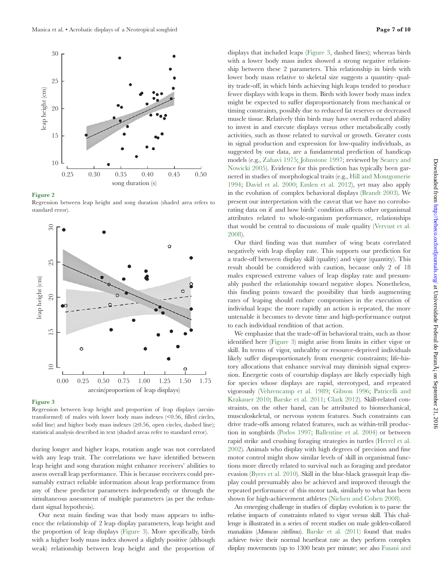

<span id="page-6-0"></span>Figure 2

Regression between leap height and song duration (shaded area refers to standard error).



#### <span id="page-6-1"></span>Figure 3

Regression between leap height and proportion of leap displays (arcsintransformed) of males with lower body mass indexes (<0.56, filled circles, solid line) and higher body mass indexes  $(\geq 0.56,$  open circles, dashed line); statistical analysis described in text (shaded areas refer to standard error).

during longer and higher leaps, rotation angle was not correlated with any leap trait. The correlations we have identified between leap height and song duration might enhance receivers' abilities to assess overall leap performance. This is because receivers could presumably extract reliable information about leap performance from any of these predictor parameters independently or through the simultaneous assessment of multiple parameters (as per the redundant signal hypothesis).

Our next main finding was that body mass appears to influence the relationship of 2 leap display parameters, leap height and the proportion of leap displays [\(Figure 3](#page-6-1)). More specifically, birds with a higher body mass index showed a slightly positive (although weak) relationship between leap height and the proportion of

displays that included leaps ([Figure 3,](#page-6-1) dashed lines); whereas birds with a lower body mass index showed a strong negative relationship between these 2 parameters. This relationship in birds with lower body mass relative to skeletal size suggests a quantity–quality trade-off, in which birds achieving high leaps tended to produce fewer displays with leaps in them. Birds with lower body mass index might be expected to suffer disproportionately from mechanical or timing constraints, possibly due to reduced fat reserves or decreased muscle tissue. Relatively thin birds may have overall reduced ability to invest in and execute displays versus other metabolically costly activities, such as those related to survival or growth. Greater costs in signal production and expression for low-quality individuals, as suggested by our data, are a fundamental prediction of handicap models (e.g., [Zahavi 1975;](#page-9-4) [Johnstone 1997](#page-8-11); reviewed by [Searcy and](#page-9-8) [Nowicki 2005\)](#page-9-8). Evidence for this prediction has typically been garnered in studies of morphological traits (e.g., [Hill and Montgomerie](#page-8-44) [1994](#page-8-44); [David et al. 2000;](#page-8-45) [Emlen et al. 2012\)](#page-8-46), yet may also apply in the evolution of complex behavioral displays [\(Brandt 2003](#page-8-20)). We present our interpretation with the caveat that we have no corroborating data on if and how birds' condition affects other organismal attributes related to whole-organism performance, relationships that would be central to discussions of male quality ([Vervust et al.](#page-9-7) [2008](#page-9-7)).

Our third finding was that number of wing beats correlated negatively with leap display rate. This supports our prediction for a trade-off between display skill (quality) and vigor (quantity). This result should be considered with caution, because only 2 of 18 males expressed extreme values of leap display rate and presumably pushed the relationship toward negative slopes. Nonetheless, this finding points toward the possibility that birds augmenting rates of leaping should endure compromises in the execution of individual leaps: the more rapidly an action is repeated, the more untenable it becomes to devote time and high-performance output to each individual rendition of that action.

We emphasize that the trade-off in behavioral traits, such as those identified here [\(Figure 3\)](#page-6-1) might arise from limits in either vigor or skill. In terms of vigor, unhealthy or resource-deprived individuals likely suffer disproportionately from energetic constraints; life-history allocations that enhance survival may diminish signal expression. Energetic costs of courtship displays are likely especially high for species whose displays are rapid, stereotyped, and repeated vigorously [\(Vehrencamp et al. 1989](#page-9-3); [Gibson 1996;](#page-8-47) [Patricelli and](#page-8-33) [Krakauer 2010](#page-8-33); [Barske et al. 2011](#page-7-2); [Clark 2012\)](#page-8-17). Skill-related constraints, on the other hand, can be attributed to biomechanical, musculoskeletal, or nervous system features. Such constraints can drive trade-offs among related features, such as within-trill production in songbirds [\(Podos 1997](#page-8-38); [Ballentine et al. 2004](#page-7-7)) or between rapid strike and crushing foraging strategies in turtles ([Herrel et al.](#page-8-48) [2002](#page-8-48)). Animals who display with high degrees of precision and fine motor control might show similar levels of skill in organismal functions more directly related to survival such as foraging and predator evasion ([Byers et al. 2010\)](#page-8-16). Skill in the blue-black grassquit leap display could presumably also be achieved and improved through the repeated performance of this motor task, similarly to what has been shown for high-achievement athletes ([Nielsen and Cohen 2008](#page-8-49)).

An emerging challenge in studies of display evolution is to parse the relative impacts of constraints related to vigor versus skill. This challenge is illustrated in a series of recent studies on male golden-collared manakins (*Manacus vitellinus*). [Barske et al. \(2011\)](#page-7-2) found that males achieve twice their normal heartbeat rate as they perform complex display movements (up to 1300 beats per minute; see also [Fusani and](#page-8-50)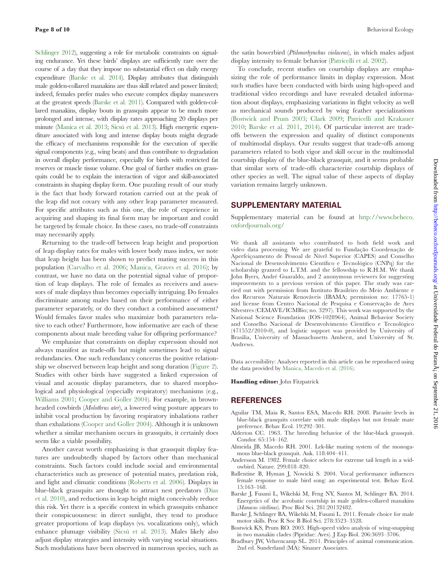[Schlinger 2012](#page-8-50)), suggesting a role for metabolic constraints on signaling endurance. Yet these birds' displays are sufficiently rare over the course of a day that they impose no substantial effect on daily energy expenditure [\(Barske et al. 2014\)](#page-7-8). Display attributes that distinguish male golden-collared manakins are thus skill related and power limited; indeed, females prefer males who execute complex display maneuvers at the greatest speeds [\(Barske et al. 2011\)](#page-7-2). Compared with golden-collared manakins, display bouts in grassquits appear to be much more prolonged and intense, with display rates approaching 20 displays per minute [\(Manica et al. 2013;](#page-8-25) [Sicsú et al. 2013\)](#page-9-6). High energetic expenditure associated with long and intense display bouts might degrade the efficacy of mechanisms responsible for the execution of specific signal components (e.g., wing beats) and thus contribute to degradation in overall display performance, especially for birds with restricted fat reserves or muscle tissue volume. One goal of further studies on grassquits could be to explain the interaction of vigor and skill-associated constraints in shaping display form. One puzzling result of our study is the fact that body forward rotation carried out at the peak of the leap did not covary with any other leap parameter measured. For specific attributes such as this one, the role of experience in acquiring and shaping its final form may be important and could be targeted by female choice. In these cases, no trade-off constraints may necessarily apply.

Returning to the trade-off between leap height and proportion of leap display rates for males with lower body mass index, we note that leap height has been shown to predict mating success in this population [\(Carvalho et al. 2006;](#page-8-29) [Manica, Graves et al. 2016](#page-8-35)); by contrast, we have no data on the potential signal value of proportion of leap displays. The role of females as receivers and assessors of male displays thus becomes especially intriguing. Do females discriminate among males based on their performance of either parameter separately, or do they conduct a combined assessment? Would females favor males who maximize both parameters relative to each other? Furthermore, how informative are each of these components about male breeding value for offspring performance?

We emphasize that constraints on display expression should not always manifest as trade-offs but might sometimes lead to signal redundancies. One such redundancy concerns the positive relationship we observed between leap height and song duration [\(Figure 2](#page-6-0)). Studies with other birds have suggested a linked expression of visual and acoustic display parameters, due to shared morphological and physiological (especially respiratory) mechanisms (e.g., [Williams 2001;](#page-9-9) [Cooper and Goller 2004](#page-8-4)). For example, in brownheaded cowbirds (*Molothrus ater*), a lowered wing posture appears to inhibit vocal production by favoring respiratory inhalations rather than exhalations ([Cooper and Goller 2004\)](#page-8-4). Although it is unknown whether a similar mechanism occurs in grassquits, it certainly does seem like a viable possibility.

Another caveat worth emphasizing is that grassquit display features are undoubtedly shaped by factors other than mechanical constraints. Such factors could include social and environmental characteristics such as presence of potential mates, predation risk, and light and climatic conditions ([Roberts et al. 2006](#page-8-5)). Displays in blue-black grassquits are thought to attract nest predators [\(Dias](#page-8-51)  [et al. 2010\)](#page-8-51), and reductions in leap height might conceivably reduce this risk. Yet there is a specific context in which grassquits enhance their conspicuousness: in direct sunlight, they tend to produce greater proportions of leap displays (vs. vocalizations only), which enhance plumage visibility ([Sicsú et al. 2013\)](#page-9-6). Males likely also adjust display strategies and intensity with varying social situations. Such modulations have been observed in numerous species, such as

the satin bowerbird (*Ptilonorhynchus violaceus*), in which males adjust display intensity to female behavior [\(Patricelli et al. 2002](#page-8-52)).

To conclude, recent studies on courtship displays are emphasizing the role of performance limits in display expression. Most such studies have been conducted with birds using high-speed and traditional video recordings and have revealed detailed information about displays, emphasizing variations in flight velocity as well as mechanical sounds produced by wing feather specializations ([Bostwick and Prum 2003;](#page-7-3) [Clark 2009](#page-8-53); [Patricelli and Krakauer](#page-8-33) [2010;](#page-8-33) [Barske et al. 2011,](#page-7-2) [2014](#page-7-8)). Of particular interest are tradeoffs between the expression and quality of distinct components of multimodal displays. Our results suggest that trade-offs among parameters related to both vigor and skill occur in the multimodal courtship display of the blue-black grassquit, and it seems probable that similar sorts of trade-offs characterize courtship displays of other species as well. The signal value of these aspects of display variation remains largely unknown.

#### **SUPPLEMENTARY MATERIAL**

Supplementary material can be found at [http://www.beheco.](http://beheco.oxfordjournals.org/lookup/suppl/doi:10.1093/beheco/arw143/-/DC1) [oxfordjournals.org/](http://beheco.oxfordjournals.org/lookup/suppl/doi:10.1093/beheco/arw143/-/DC1)

We thank all assistants who contributed to both field work and video data processing. We are grateful to Fundação Coordenação de Aperfeiçoamento de Pessoal de Nível Superior (CAPES) and Conselho Nacional de Desenvolvimento Científico e Tecnológico (CNPq) for the scholarship granted to L.T.M. and the fellowship to R.H.M. We thank John Byers, André Guaraldo, and 2 anonymous reviewers for suggesting improvements to a previous version of this paper. The study was carried out with permission from Instituto Brasileiro do Meio Ambiente e dos Recursos Naturais Renováveis (IBAMA; permission no: 17765-1) and license from Centro Nacional de Pesquisa e Conservação de Aves Silvestres (CEMAVE/ICMBio; no. 3297). This work was supported by the National Science Foundation (IOS-1028964), Animal Behavior Society and Conselho Nacional de Desenvolvimento Científico e Tecnológico (471552/2010-0), and logistic support was provided by University of Brasilia, University of Massachusetts Amherst, and University of St. Andrews.

Data accessibility: Analyses reported in this article can be reproduced using the data provided by [Manica, Macedo et al. \(2016\)](#page-8-54).

**Handling editor:** John Fitzpatrick

## **REFERENCES**

- <span id="page-7-6"></span>Aguilar TM, Maia R, Santos ESA, Macedo RH. 2008. Parasite levels in blue-black grassquits correlate with male displays but not female mate preference. Behav Ecol. 19:292–301.
- <span id="page-7-4"></span>Alderton CC. 1963. The breeding behavior of the blue-black grassquit. Condor. 65:154–162.
- <span id="page-7-5"></span>Almeida JB, Macedo RH. 2001. Lek-like mating system of the monogamous blue-black grassquit. Auk. 118:404–411.
- <span id="page-7-0"></span>Andersson M. 1982. Female choice selects for extreme tail length in a widowbird. Nature. 299:818–820.
- <span id="page-7-7"></span>Ballentine B, Hyman J, Nowicki S. 2004. Vocal performance influences female response to male bird song: an experimental test. Behav Ecol. 15:163–168.
- <span id="page-7-8"></span>Barske J, Fusani L, Wikelski M, Feng NY, Santos M, Schlinger BA. 2014. Energetics of the acrobatic courtship in male golden-collared manakins (*Manacus vitellinus*). Proc Biol Sci. 281:20132482.
- <span id="page-7-2"></span>Barske J, Schlinger BA, Wikelski M, Fusani L. 2011. Female choice for male motor skills. Proc R Soc B Biol Sci. 278:3523–3528.
- <span id="page-7-3"></span>Bostwick KS, Prum RO. 2003. High-speed video analysis of wing-snapping in two manakin clades (Pipridae: Aves). J Exp Biol. 206:3693–3706.
- <span id="page-7-1"></span>Bradbury JW, Vehrencamp SL. 2011. Principles of animal communication. 2nd ed. Sunderland (MA): Sinauer Associates.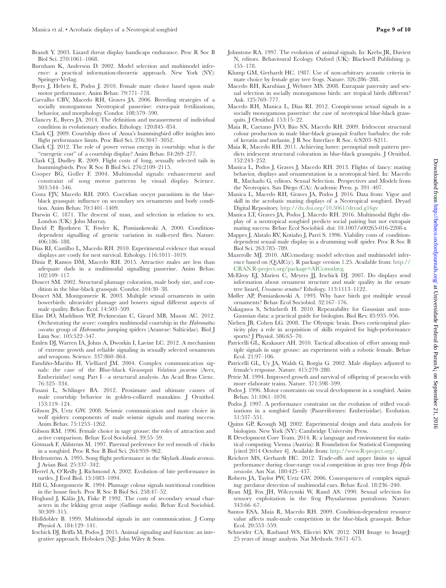- <span id="page-8-20"></span>Brandt Y. 2003. Lizard threat display handicaps endurance. Proc R Soc B Biol Sci. 270:1061–1068.
- <span id="page-8-41"></span>Burnham K, Anderson D. 2002. Model selection and multimodel inference: a practical information-theoretic approach. New York (NY): Springer-Verlag.
- <span id="page-8-16"></span>Byers J, Hebets E, Podos J. 2010. Female mate choice based upon male motor performance. Anim Behav. 79:771–778.
- <span id="page-8-29"></span>Carvalho CBV, Macedo RH, Graves JA. 2006. Breeding strategies of a socially monogamous Neotropical passerine: extra-pair fertilizations, behavior, and morphology. Condor. 108:579–590.
- <span id="page-8-21"></span>Clancey E, Byers JA. 2014. The definition and measurement of individual condition in evolutionary studies. Ethology. 120:845–854.
- <span id="page-8-53"></span>Clark CJ. 2009. Courtship dives of Anna's hummingbird offer insights into flight performance limits. Proc Biol Sci. 276:3047–3052.
- <span id="page-8-17"></span>Clark CJ. 2012. The role of power versus energy in courtship: what is the "energetic cost" of a courtship display? Anim Behav. 84:269–277.
- <span id="page-8-22"></span>Clark CJ, Dudley R. 2009. Flight costs of long, sexually selected tails in hummingbirds. Proc R Soc B Biol Sci. 276:2109–2115.
- <span id="page-8-4"></span>Cooper BG, Goller F. 2004. Multimodal signals: enhancement and constraint of song motor patterns by visual display. Science. 303:544–546.
- <span id="page-8-31"></span>Costa FJV, Macedo RH. 2005. Coccidian oocyst parasitism in the blueblack grassquit: influence on secondary sex ornaments and body condition. Anim Behav. 70:1401–1409.
- <span id="page-8-15"></span>Darwin C. 1871. The descent of man, and selection in relation to sex. London (UK): John Murray.
- <span id="page-8-45"></span>David P, Bjorksten T, Fowler K, Pomiankowski A. 2000. Conditiondependent signalling of genetic variation in stalk-eyed flies. Nature. 406:186–188.
- <span id="page-8-51"></span>Dias RI, Castilho L, Macedo RH. 2010. Experimental evidence that sexual displays are costly for nest survival. Ethology. 116:1011–1019.
- <span id="page-8-34"></span>Diniz P, Ramos DM, Macedo RH. 2015. Attractive males are less than adequate dads in a multimodal signalling passerine. Anim Behav. 102:109–117.
- <span id="page-8-30"></span>Doucet SM. 2002. Structural plumage coloration, male body size, and condition in the blue-black grassquit. Condor. 104:30–38.
- <span id="page-8-7"></span>Doucet SM, Montgomerie R. 2003. Multiple sexual ornaments in satin bowerbirds: ultraviolet plumage and bowers signal different aspects of male quality. Behav Ecol. 14:503–509.
- <span id="page-8-6"></span>Elias DO, Maddison WP, Peckmezian C, Girard MB, Mason AC. 2012. Orchestrating the score: complex multimodal courtship in the *Habronattus coecatus* group of *Habronattus* jumping spiders (Araneae: Salticidae). Biol J Linn Soc. 105:522–547.
- <span id="page-8-46"></span>Emlen DJ, Warren IA, Johns A, Dworkin I, Lavine LC. 2012. A mechanism of extreme growth and reliable signaling in sexually selected ornaments and weapons. Science. 337:860–864.
- <span id="page-8-27"></span>Fandiño-Mariño H, Vielliard JM. 2004. Complex communication signals: the case of the Blue-black Grassquit *Volatinia jacarina* (Aves, Emberizidae) song. Part I—a structural analysis. An Acad Bras Cienc. 76:325–334.
- <span id="page-8-50"></span>Fusani L, Schlinger BA. 2012. Proximate and ultimate causes of male courtship behavior in golden-collared manakins. J Ornithol. 153:119–124.
- <span id="page-8-8"></span>Gibson JS, Uetz GW. 2008. Seismic communication and mate choice in wolf spiders: components of male seismic signals and mating success. Anim Behav. 75:1253–1262.
- <span id="page-8-47"></span>Gibson RM. 1996. Female choice in sage grouse: the roles of attraction and active comparison. Behav Ecol Sociobiol. 39:55–59.
- <span id="page-8-3"></span>Götmark F, Ahlström M. 1997. Parental preference for red mouth of chicks in a songbird. Proc R Soc B Biol Sci. 264:959–962.
- <span id="page-8-28"></span>Hedenström A. 1995. Song flight performance in the Skylark *Alauda arvensis*. J Avian Biol. 25:337–342.
- <span id="page-8-48"></span>Herrel A, O'Reilly J, Richmond A. 2002. Evolution of bite performance in turtles. J Evol Biol. 15:1083–1094.
- <span id="page-8-44"></span>Hill G, Montgomerie R. 1994. Plumage colour signals nutritional condition in the house finch. Proc R Soc B Biol Sci. 258:47–52.
- <span id="page-8-18"></span>Höglund J, Kålås JA, Fiske P. 1992. The costs of secondary sexual characters in the lekking great snipe (*Gallinago media*). Behav Ecol Sociobiol. 30:309–315.
- <span id="page-8-2"></span>Hölldobler B. 1999. Multimodal signals in ant communication. J Comp Physiol A. 184:129–141.
- <span id="page-8-13"></span>Irschick DJ, Briffa M, Podos J. 2015. Animal signaling and function: an integrative approach. Hoboken (NJ): John Wiley & Sons.
- <span id="page-8-11"></span>Johnstone RA. 1997. The evolution of animal signals. In: Krebs JR, Daviest N, editors. Behavioural Ecology. Oxford (UK): Blackwell Publishing. p. 155–178.
- <span id="page-8-14"></span>Klump GM, Gerhardt HC. 1987. Use of non-arbitrary acoustic criteria in mate choice by female gray tree frogs. Nature. 326:286–288.
- Macedo RH, Karubian J, Webster MS. 2008. Extrapair paternity and sexual selection in socially monogamous birds: are tropical birds different? Auk. 125:769–777.
- <span id="page-8-24"></span>Macedo RH, Manica L, Dias RI. 2012. Conspicuous sexual signals in a socially monogamous passerine: the case of neotropical blue-black grassquits. J Ornithol. 153:15–22.
- <span id="page-8-26"></span>Maia R, Caetano JVO, Báo SN, Macedo RH. 2009. Iridescent structural colour production in male blue-black grassquit feather barbules: the role of keratin and melanin. J R Soc Interface R Soc. 6:S203–S211.
- <span id="page-8-32"></span>Maia R, Macedo RH. 2011. Achieving luster: prenuptial molt pattern predicts iridescent structural coloration in blue-black grassquits. J Ornithol. 152:243–252.
- <span id="page-8-25"></span>Manica L, Podos J, Graves J, Macedo RH. 2013. Flights of fancy: mating behavior, displays and ornamentation in a neotropical bird. In: Macedo R, Machado G, editors. Sexual Selection. Perspectives and Models from the Neotropics. San Diego (CA): Academic Press. p. 391–407.
- <span id="page-8-54"></span>Manica L, Macedo RH, Graves JA, Podos J. 2016. Data from: Vigor and skill in the acrobatic mating displays of a Neotropical songbird. Dryad Digital Repository.<http://dx.doi.org/10.5061/dryad.g16gv>
- <span id="page-8-35"></span>Manica LT, Graves JA, Podos J, Macedo RH. 2016. Multimodal flight display of a neotropical songbird predicts social pairing but not extrapair mating success. Behav Ecol Sociobiol. doi: 10.1007/s00265-016-2208-x
- <span id="page-8-19"></span>Mappes J, Alatalo RV, Kotiaho J, Parri S. 1996. Viability costs of conditiondependent sexual male display in a drumming wolf spider. Proc R Soc B Biol Sci. 263:785–789.
- <span id="page-8-39"></span>Mazerolle MJ. 2010. AICcmodavg: model selection and multimodel inference based on (Q)AIC(c). R package version 1.25. Available from: [http://](http://CRAN.R-project.org/package=AICcmodavg﻿) [CRAN.R-project.org/package=AICcmodavg.](http://CRAN.R-project.org/package=AICcmodavg﻿)
- <span id="page-8-9"></span>McElroy EJ, Marien C, Meyers JJ, Irschick DJ. 2007. Do displays send information about ornament structure and male quality in the ornate tree lizard, *Urosaurus ornatus*? Ethology. 113:1113–1122.
- <span id="page-8-10"></span>Møller AP, Pomiankowski A. 1993. Why have birds got multiple sexual ornaments? Behav Ecol Sociobiol. 32:167–176.
- <span id="page-8-43"></span>Nakagawa S, Schielzeth H. 2010. Repeatability for Gaussian and non-Gaussian data: a practical guide for biologists. Biol Rev. 85:935–956.
- <span id="page-8-49"></span>Nielsen JB, Cohen LG. 2008. The Olympic brain. Does corticospinal plasticity play a role in acquisition of skills required for high-performance sports? J Physiol. 586:65–70.
- <span id="page-8-33"></span>Patricelli GL, Krakauer AH. 2010. Tactical allocation of effort among multiple signals in sage grouse: an experiment with a robotic female. Behav Ecol. 21:97–106.
- <span id="page-8-52"></span>Patricelli GL, Uy JA, Walsh G, Borgia G. 2002. Male displays adjusted to female's response. Nature. 415:279–280.
- <span id="page-8-1"></span>Petrie M. 1994. Improved growth and survival of offspring of peacocks with more elaborate trains. Nature. 371:598–599.
- <span id="page-8-23"></span>Podos J. 1996. Motor constraints on vocal development in a songbird. Anim Behav. 51:1061–1070.
- <span id="page-8-38"></span>Podos J. 1997. A performance constraint on the evolution of trilled vocalizations in a songbird family (Passeriformes: Emberizidae). Evolution. 51:537–551.
- <span id="page-8-42"></span>Quinn GP, Keough MJ. 2002. Experimental design and data analysis for biologists. New York (NY): Cambridge University Press.
- <span id="page-8-40"></span>R Development Core Team. 2014. R: a language and environment for statistical computing. Vienna (Austria): R Foundation for Statistical Computing [cited 2014 October 4]. Available from: [http://www.R-project.org/.](http://www.R-project.org/)
- <span id="page-8-12"></span>Reichert MS, Gerhardt HC. 2012. Trade-offs and upper limits to signal performance during close-range vocal competition in gray tree frogs *Hyla versicolor*. Am Nat. 180:425–437.
- <span id="page-8-5"></span>Roberts JA, Taylor PW, Uetz GW. 2006. Consequences of complex signaling: predator detection of multimodal cues. Behav Ecol. 18:236–240.
- <span id="page-8-0"></span>Ryan MJ, Fox JH, Wilczynski W, Rand AS. 1990. Sexual selection for sensory exploitation in the frog Physalaemus pustulosus. Nature. 343:66–67.
- <span id="page-8-36"></span>Santos ESA, Maia R, Macedo RH. 2009. Condition-dependent resource value affects male-male competition in the blue-black grassquit. Behav Ecol. 20:553–559.
- <span id="page-8-37"></span>Schneider CA, Rasband WS, Eliceiri KW. 2012. NIH Image to ImageJ: 25 years of image analysis. Nat Methods. 9:671–675.